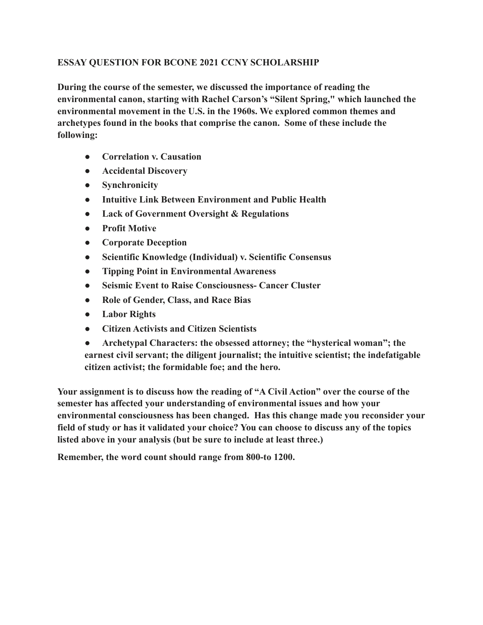## **ESSAY QUESTION FOR BCONE 2021 CCNY SCHOLARSHIP**

**During the course of the semester, we discussed the importance of reading the environmental canon, starting with Rachel Carson's "Silent Spring," which launched the environmental movement in the U.S. in the 1960s. We explored common themes and archetypes found in the books that comprise the canon. Some of these include the following:**

- **Correlation v. Causation**
- **Accidental Discovery**
- **Synchronicity**
- **Intuitive Link Between Environment and Public Health**
- **Lack of Government Oversight & Regulations**
- **Profit Motive**
- **Corporate Deception**
- **Scientific Knowledge (Individual) v. Scientific Consensus**
- **Tipping Point in Environmental Awareness**
- **Seismic Event to Raise Consciousness- Cancer Cluster**
- **Role of Gender, Class, and Race Bias**
- **Labor Rights**
- **Citizen Activists and Citizen Scientists**
- **Archetypal Characters: the obsessed attorney; the "hysterical woman"; the earnest civil servant; the diligent journalist; the intuitive scientist; the indefatigable citizen activist; the formidable foe; and the hero.**

**Your assignment is to discuss how the reading of "A Civil Action" over the course of the semester has affected your understanding of environmental issues and how your environmental consciousness has been changed. Has this change made you reconsider your field of study or has it validated your choice? You can choose to discuss any of the topics listed above in your analysis (but be sure to include at least three.)**

**Remember, the word count should range from 800-to 1200.**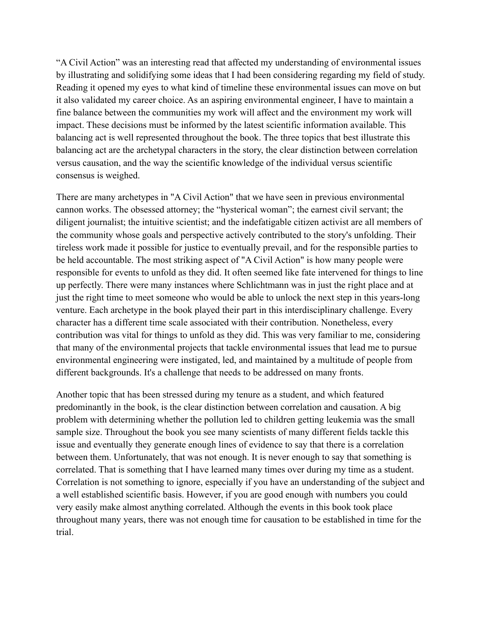"A Civil Action" was an interesting read that affected my understanding of environmental issues by illustrating and solidifying some ideas that I had been considering regarding my field of study. Reading it opened my eyes to what kind of timeline these environmental issues can move on but it also validated my career choice. As an aspiring environmental engineer, I have to maintain a fine balance between the communities my work will affect and the environment my work will impact. These decisions must be informed by the latest scientific information available. This balancing act is well represented throughout the book. The three topics that best illustrate this balancing act are the archetypal characters in the story, the clear distinction between correlation versus causation, and the way the scientific knowledge of the individual versus scientific consensus is weighed.

There are many archetypes in "A Civil Action" that we have seen in previous environmental cannon works. The obsessed attorney; the "hysterical woman"; the earnest civil servant; the diligent journalist; the intuitive scientist; and the indefatigable citizen activist are all members of the community whose goals and perspective actively contributed to the story's unfolding. Their tireless work made it possible for justice to eventually prevail, and for the responsible parties to be held accountable. The most striking aspect of "A Civil Action" is how many people were responsible for events to unfold as they did. It often seemed like fate intervened for things to line up perfectly. There were many instances where Schlichtmann was in just the right place and at just the right time to meet someone who would be able to unlock the next step in this years-long venture. Each archetype in the book played their part in this interdisciplinary challenge. Every character has a different time scale associated with their contribution. Nonetheless, every contribution was vital for things to unfold as they did. This was very familiar to me, considering that many of the environmental projects that tackle environmental issues that lead me to pursue environmental engineering were instigated, led, and maintained by a multitude of people from different backgrounds. It's a challenge that needs to be addressed on many fronts.

Another topic that has been stressed during my tenure as a student, and which featured predominantly in the book, is the clear distinction between correlation and causation. A big problem with determining whether the pollution led to children getting leukemia was the small sample size. Throughout the book you see many scientists of many different fields tackle this issue and eventually they generate enough lines of evidence to say that there is a correlation between them. Unfortunately, that was not enough. It is never enough to say that something is correlated. That is something that I have learned many times over during my time as a student. Correlation is not something to ignore, especially if you have an understanding of the subject and a well established scientific basis. However, if you are good enough with numbers you could very easily make almost anything correlated. Although the events in this book took place throughout many years, there was not enough time for causation to be established in time for the trial.